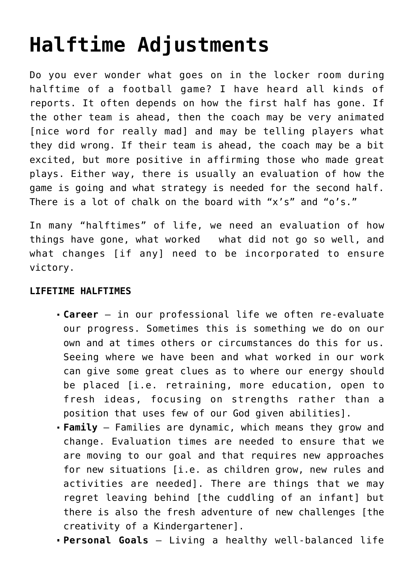## **[Halftime Adjustments](https://www.firstplaceforhealth.com/halftime-adjustments/)**

Do you ever wonder what goes on in the locker room during halftime of a football game? I have heard all kinds of reports. It often depends on how the first half has gone. If the other team is ahead, then the coach may be very animated [nice word for really mad] and may be telling players what they did wrong. If their team is ahead, the coach may be a bit excited, but more positive in affirming those who made great plays. Either way, there is usually an evaluation of how the game is going and what strategy is needed for the second half. There is a lot of chalk on the board with "x's" and "o's."

In many "halftimes" of life, we need an evaluation of how things have gone, what worked what did not go so well, and what changes [if any] need to be incorporated to ensure victory.

## **LIFETIME HALFTIMES**

- **Career** in our professional life we often re-evaluate our progress. Sometimes this is something we do on our own and at times others or circumstances do this for us. Seeing where we have been and what worked in our work can give some great clues as to where our energy should be placed [i.e. retraining, more education, open to fresh ideas, focusing on strengths rather than a position that uses few of our God given abilities].
- **Family**  Families are dynamic, which means they grow and change. Evaluation times are needed to ensure that we are moving to our goal and that requires new approaches for new situations [i.e. as children grow, new rules and activities are needed]. There are things that we may regret leaving behind [the cuddling of an infant] but there is also the fresh adventure of new challenges [the creativity of a Kindergartener].
- **Personal Goals**  Living a healthy well-balanced life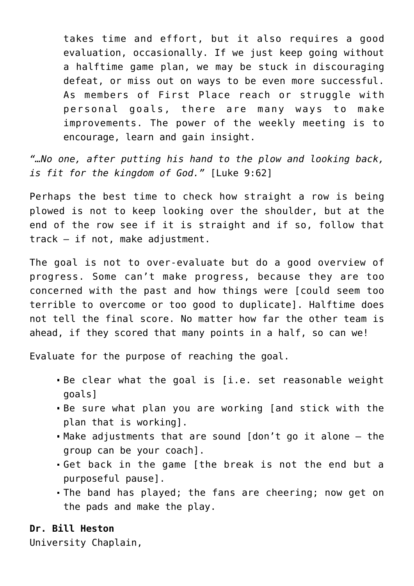takes time and effort, but it also requires a good evaluation, occasionally. If we just keep going without a halftime game plan, we may be stuck in discouraging defeat, or miss out on ways to be even more successful. As members of First Place reach or struggle with personal goals, there are many ways to make improvements. The power of the weekly meeting is to encourage, learn and gain insight.

*"…No one, after putting his hand to the plow and looking back, is fit for the kingdom of God."* [Luke 9:62]

Perhaps the best time to check how straight a row is being plowed is not to keep looking over the shoulder, but at the end of the row see if it is straight and if so, follow that track – if not, make adjustment.

The goal is not to over-evaluate but do a good overview of progress. Some can't make progress, because they are too concerned with the past and how things were [could seem too terrible to overcome or too good to duplicate]. Halftime does not tell the final score. No matter how far the other team is ahead, if they scored that many points in a half, so can we!

Evaluate for the purpose of reaching the goal.

- Be clear what the goal is [i.e. set reasonable weight goals]
- Be sure what plan you are working [and stick with the plan that is working].
- Make adjustments that are sound [don't go it alone the group can be your coach].
- Get back in the game [the break is not the end but a purposeful pause].
- The band has played; the fans are cheering; now get on the pads and make the play.

## **Dr. Bill Heston**

University Chaplain,